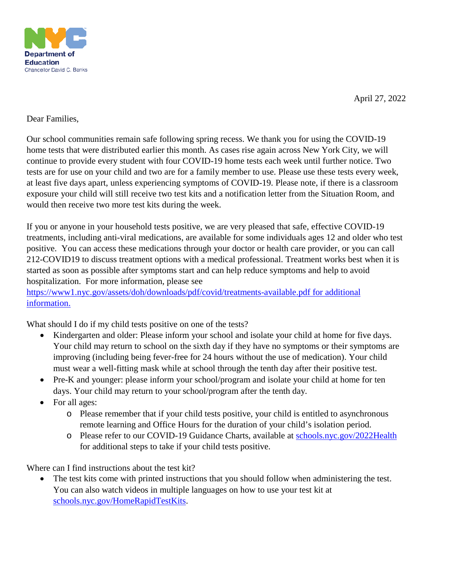

April 27, 2022

## Dear Families,

Our school communities remain safe following spring recess. We thank you for using the COVID-19 home tests that were distributed earlier this month. As cases rise again across New York City, we will continue to provide every student with four COVID-19 home tests each week until further notice. Two tests are for use on your child and two are for a family member to use. Please use these tests every week, at least five days apart, unless experiencing symptoms of COVID-19. Please note, if there is a classroom exposure your child will still receive two test kits and a notification letter from the Situation Room, and would then receive two more test kits during the week.

If you or anyone in your household tests positive, we are very pleased that safe, effective COVID-19 treatments, including anti-viral medications, are available for some individuals ages 12 and older who test positive. You can access these medications through your doctor or health care provider, or you can call 212-COVID19 to discuss treatment options with a medical professional. Treatment works best when it is started as soon as possible after symptoms start and can help reduce symptoms and help to avoid hospitalization. For more information, please see

[https://www1.nyc.gov/assets/doh/downloads/pdf/covid/treatments-available.pdf](https://nam10.safelinks.protection.outlook.com/?url=https%3A%2F%2Fwww1.nyc.gov%2Fassets%2Fdoh%2Fdownloads%2Fpdf%2Fcovid%2Ftreatments-available.pdf&data=04%7C01%7CJConway4%40schools.nyc.gov%7C595d5ef3868b4b95f11308da17d0df3e%7C18492cb7ef45456185710c42e5f7ac07%7C0%7C0%7C637848483111347782%7CUnknown%7CTWFpbGZsb3d8eyJWIjoiMC4wLjAwMDAiLCJQIjoiV2luMzIiLCJBTiI6Ik1haWwiLCJXVCI6Mn0%3D%7C3000&sdata=TZvxRssxj%2B2bHdo2lUGNvNlMinUsEaWen6csHUl6xdU%3D&reserved=0) for additional information.

What should I do if my child tests positive on one of the tests?

- Kindergarten and older: Please inform your school and isolate your child at home for five days. Your child may return to school on the sixth day if they have no symptoms or their symptoms are improving (including being fever-free for 24 hours without the use of medication). Your child must wear a well-fitting mask while at school through the tenth day after their positive test.
- Pre-K and younger: please inform your school/program and isolate your child at home for ten days. Your child may return to your school/program after the tenth day.
- For all ages:
	- o Please remember that if your child tests positive, your child is entitled to asynchronous remote learning and Office Hours for the duration of your child's isolation period.
	- o Please refer to our COVID-19 Guidance Charts, available at [schools.nyc.gov/2022Health](https://www.schools.nyc.gov/school-life/health-and-wellness/covid-information/health-and-safety-in-our-schools) for additional steps to take if your child tests positive.

Where can I find instructions about the test kit?

The test kits come with printed instructions that you should follow when administering the test. You can also watch videos in multiple languages on how to use your test kit at [schools.nyc.gov/HomeRapidTestKits.](https://www.schools.nyc.gov/school-life/health-and-wellness/covid-information/home-rapid-test-kits)